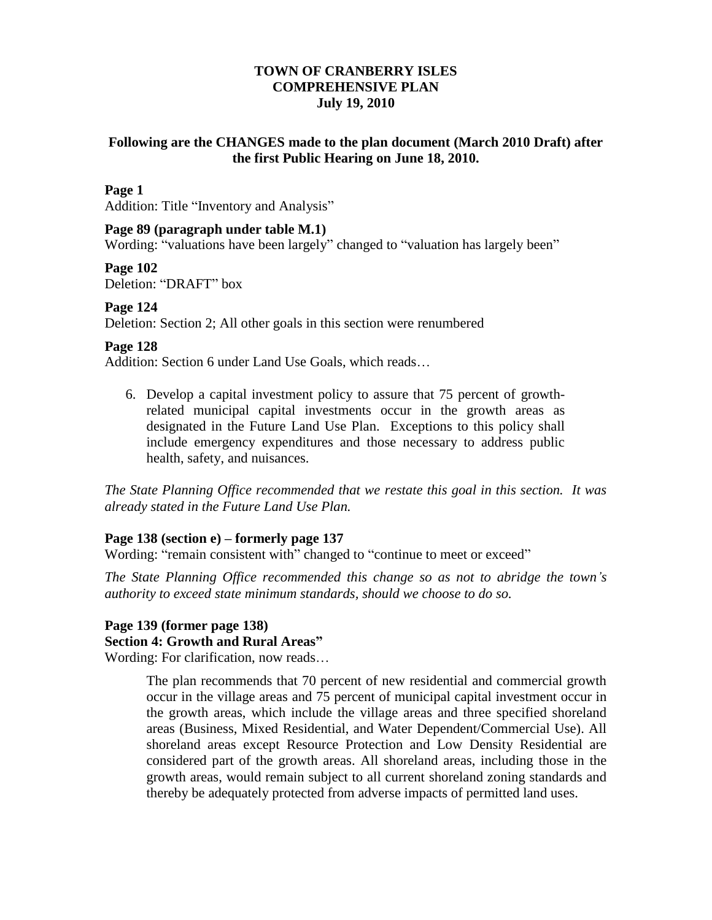# **TOWN OF CRANBERRY ISLES COMPREHENSIVE PLAN July 19, 2010**

## **Following are the CHANGES made to the plan document (March 2010 Draft) after the first Public Hearing on June 18, 2010.**

### **Page 1**

Addition: Title "Inventory and Analysis"

### **Page 89 (paragraph under table M.1)**

Wording: "valuations have been largely" changed to "valuation has largely been"

**Page 102**

Deletion: "DRAFT" box

### **Page 124**

Deletion: Section 2; All other goals in this section were renumbered

### **Page 128**

Addition: Section 6 under Land Use Goals, which reads…

6. Develop a capital investment policy to assure that 75 percent of growthrelated municipal capital investments occur in the growth areas as designated in the Future Land Use Plan. Exceptions to this policy shall include emergency expenditures and those necessary to address public health, safety, and nuisances.

*The State Planning Office recommended that we restate this goal in this section. It was already stated in the Future Land Use Plan.*

### **Page 138 (section e) – formerly page 137**

Wording: "remain consistent with" changed to "continue to meet or exceed"

*The State Planning Office recommended this change so as not to abridge the town's authority to exceed state minimum standards, should we choose to do so.*

# **Page 139 (former page 138) Section 4: Growth and Rural Areas"**

Wording: For clarification, now reads…

The plan recommends that 70 percent of new residential and commercial growth occur in the village areas and 75 percent of municipal capital investment occur in the growth areas, which include the village areas and three specified shoreland areas (Business, Mixed Residential, and Water Dependent/Commercial Use). All shoreland areas except Resource Protection and Low Density Residential are considered part of the growth areas. All shoreland areas, including those in the growth areas, would remain subject to all current shoreland zoning standards and thereby be adequately protected from adverse impacts of permitted land uses.